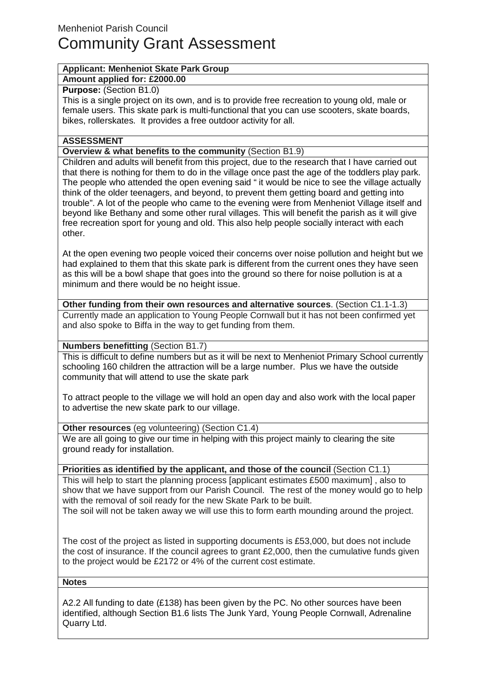# **Applicant: Menheniot Skate Park Group**

### **Amount applied for: £2000.00**

### **Purpose: (Section B1.0)**

This is a single project on its own, and is to provide free recreation to young old, male or female users. This skate park is multi-functional that you can use scooters, skate boards, bikes, rollerskates. It provides a free outdoor activity for all.

# **ASSESSMENT**

## **Overview & what benefits to the community** (Section B1.9)

Children and adults will benefit from this project, due to the research that I have carried out that there is nothing for them to do in the village once past the age of the toddlers play park. The people who attended the open evening said " it would be nice to see the village actually think of the older teenagers, and beyond, to prevent them getting board and getting into trouble". A lot of the people who came to the evening were from Menheniot Village itself and beyond like Bethany and some other rural villages. This will benefit the parish as it will give free recreation sport for young and old. This also help people socially interact with each other.

At the open evening two people voiced their concerns over noise pollution and height but we had explained to them that this skate park is different from the current ones they have seen as this will be a bowl shape that goes into the ground so there for noise pollution is at a minimum and there would be no height issue.

**Other funding from their own resources and alternative sources**. (Section C1.1-1.3) Currently made an application to Young People Cornwall but it has not been confirmed yet and also spoke to Biffa in the way to get funding from them.

# **Numbers benefitting** (Section B1.7)

This is difficult to define numbers but as it will be next to Menheniot Primary School currently schooling 160 children the attraction will be a large number. Plus we have the outside community that will attend to use the skate park

To attract people to the village we will hold an open day and also work with the local paper to advertise the new skate park to our village.

# **Other resources** (eg volunteering) (Section C1.4)

We are all going to give our time in helping with this project mainly to clearing the site ground ready for installation.

## **Priorities as identified by the applicant, and those of the council** (Section C1.1)

to the project would be £2172 or 4% of the current cost estimate.

This will help to start the planning process [applicant estimates £500 maximum] , also to show that we have support from our Parish Council. The rest of the money would go to help with the removal of soil ready for the new Skate Park to be built. The soil will not be taken away we will use this to form earth mounding around the project.

The cost of the project as listed in supporting documents is £53,000, but does not include the cost of insurance. If the council agrees to grant £2,000, then the cumulative funds given

#### **Notes**

A2.2 All funding to date (£138) has been given by the PC. No other sources have been identified, although Section B1.6 lists The Junk Yard, Young People Cornwall, Adrenaline Quarry Ltd.